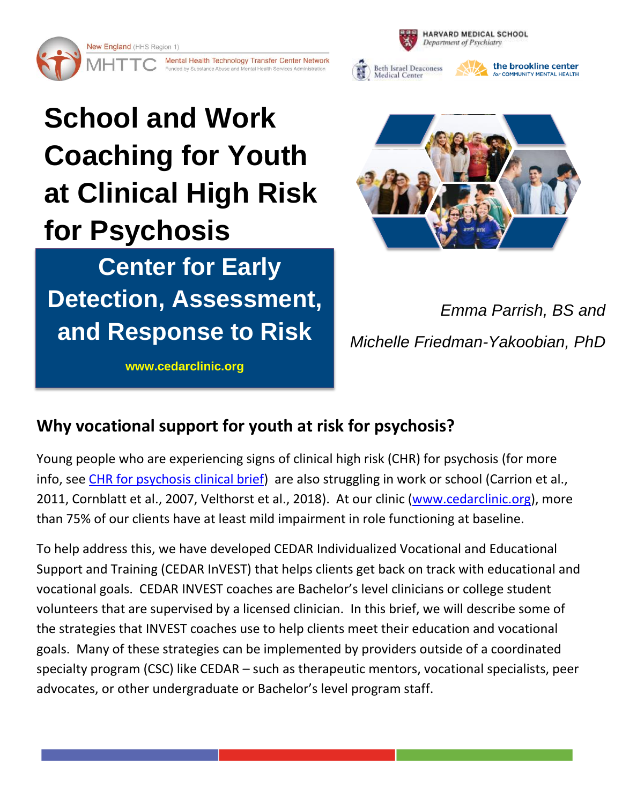New England (HHS Region 1)



Mental Health Technology Transfer Center Network

Funded by Substance Abuse and Mental Health Services Administration



Beth Israel Deaconess<br>Medical Center

the brookline center for COMMUNITY MENTAL HEALTH

# **School and Work Coaching for Youth at Clinical High Risk for Psychosis**

 **Center for Early Detection, Assessment, and Response to Risk**



*Emma Parrish, BS and Michelle Friedman-Yakoobian, PhD*

**www.cedarclinic.org**

# **Why vocational support for youth at risk for psychosis?**

Young people who are experiencing signs of clinical high risk (CHR) for psychosis (for more info, see [CHR for psychosis clinical brief\)](http://cedarclinic.org/images/stories/pdfs/ClinicalBriefs/cedar%20screening%20for%20psychosis%20spectrum%20symptoms%202.14.18.pdf) are also struggling in work or school (Carrion et al., 2011, Cornblatt et al., 2007, Velthorst et al., 2018). At our clinic [\(www.cedarclinic.org\)](http://www.cedarclinic.org/), more than 75% of our clients have at least mild impairment in role functioning at baseline.

To help address this, we have developed CEDAR Individualized Vocational and Educational Support and Training (CEDAR InVEST) that helps clients get back on track with educational and vocational goals. CEDAR INVEST coaches are Bachelor's level clinicians or college student volunteers that are supervised by a licensed clinician. In this brief, we will describe some of the strategies that INVEST coaches use to help clients meet their education and vocational goals. Many of these strategies can be implemented by providers outside of a coordinated specialty program (CSC) like CEDAR – such as therapeutic mentors, vocational specialists, peer advocates, or other undergraduate or Bachelor's level program staff.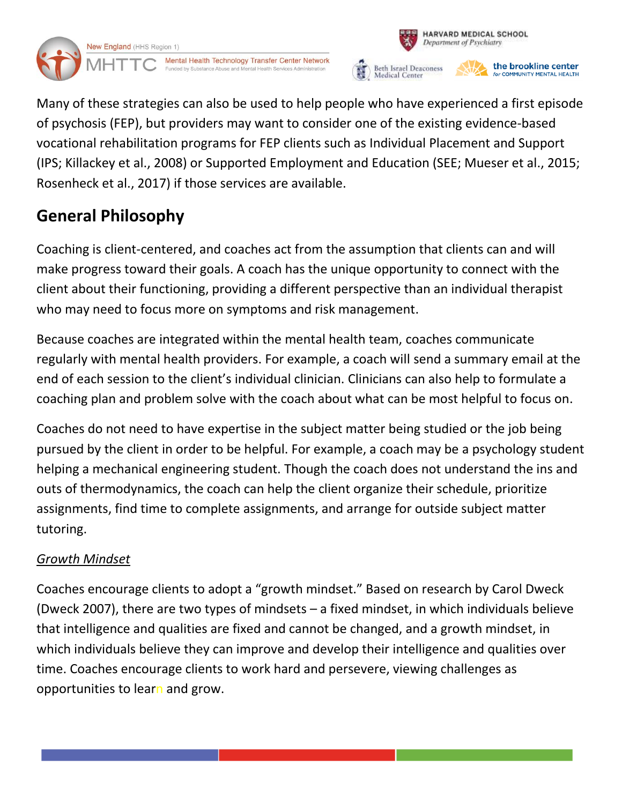



HARVARD MEDICAL SCHOOL Department of Psychiatry

> the brookline center for COMMUNITY MENTAL HEALTH

Many of these strategies can also be used to help people who have experienced a first episode of psychosis (FEP), but providers may want to consider one of the existing evidence-based vocational rehabilitation programs for FEP clients such as Individual Placement and Support (IPS; Killackey et al., 2008) or Supported Employment and Education (SEE; Mueser et al., 2015; Rosenheck et al., 2017) if those services are available.

# **General Philosophy**

Coaching is client-centered, and coaches act from the assumption that clients can and will make progress toward their goals. A coach has the unique opportunity to connect with the client about their functioning, providing a different perspective than an individual therapist who may need to focus more on symptoms and risk management.

Because coaches are integrated within the mental health team, coaches communicate regularly with mental health providers. For example, a coach will send a summary email at the end of each session to the client's individual clinician. Clinicians can also help to formulate a coaching plan and problem solve with the coach about what can be most helpful to focus on.

Coaches do not need to have expertise in the subject matter being studied or the job being pursued by the client in order to be helpful. For example, a coach may be a psychology student helping a mechanical engineering student. Though the coach does not understand the ins and outs of thermodynamics, the coach can help the client organize their schedule, prioritize assignments, find time to complete assignments, and arrange for outside subject matter tutoring.

# *Growth Mindset*

Coaches encourage clients to adopt a "growth mindset." Based on research by Carol Dweck (Dweck 2007), there are two types of mindsets – a fixed mindset, in which individuals believe that intelligence and qualities are fixed and cannot be changed, and a growth mindset, in which individuals believe they can improve and develop their intelligence and qualities over time. Coaches encourage clients to work hard and persevere, viewing challenges as opportunities to learn and grow.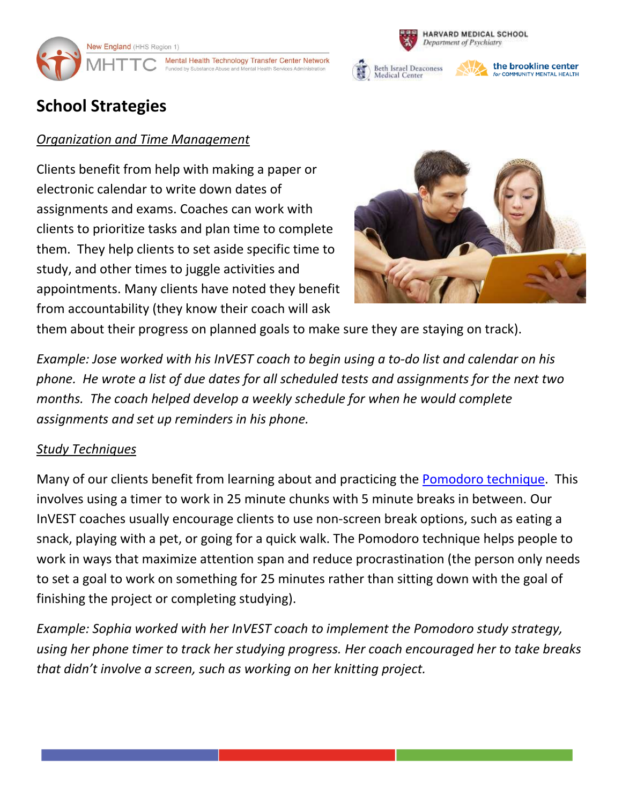



the brookline center

for COMMUNITY MENTAL HEALTH

# **School Strategies**

# *Organization and Time Management*

Clients benefit from help with making a paper or electronic calendar to write down dates of assignments and exams. Coaches can work with clients to prioritize tasks and plan time to complete them. They help clients to set aside specific time to study, and other times to juggle activities and appointments. Many clients have noted they benefit from accountability (they know their coach will ask



them about their progress on planned goals to make sure they are staying on track).

*Example: Jose worked with his InVEST coach to begin using a to-do list and calendar on his phone. He wrote a list of due dates for all scheduled tests and assignments for the next two months. The coach helped develop a weekly schedule for when he would complete assignments and set up reminders in his phone.*

# *Study Techniques*

Many of our clients benefit from learning about and practicing the [Pomodoro](https://en.wikipedia.org/wiki/Pomodoro_Technique) technique. This involves using a timer to work in 25 minute chunks with 5 minute breaks in between. Our InVEST coaches usually encourage clients to use non-screen break options, such as eating a snack, playing with a pet, or going for a quick walk. The Pomodoro technique helps people to work in ways that maximize attention span and reduce procrastination (the person only needs to set a goal to work on something for 25 minutes rather than sitting down with the goal of finishing the project or completing studying).

*Example: Sophia worked with her InVEST coach to implement the Pomodoro study strategy, using her phone timer to track her studying progress. Her coach encouraged her to take breaks that didn't involve a screen, such as working on her knitting project.*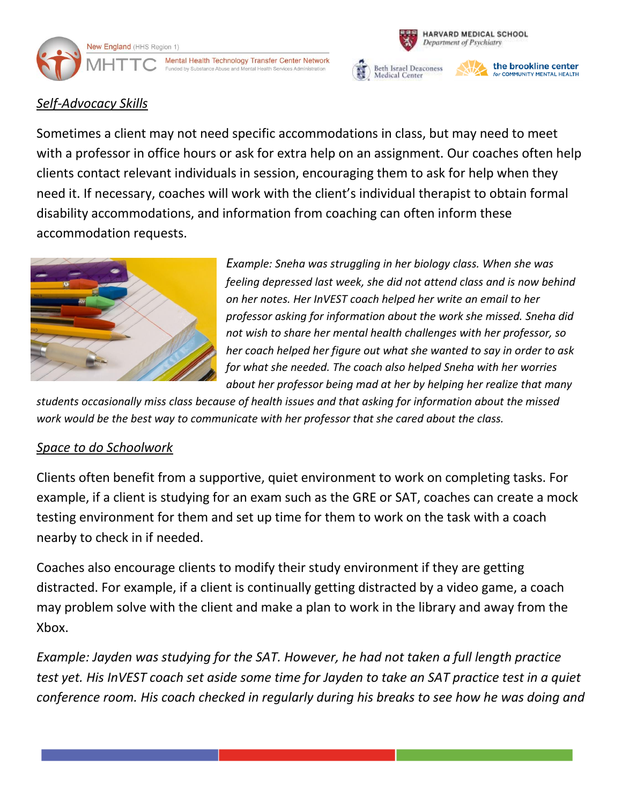



HARVARD MEDICAL SCHOOL Department of Psychiatry

> the brookline center for COMMUNITY MENTAL HEALTH

# *Self-Advocacy Skills*

Sometimes a client may not need specific accommodations in class, but may need to meet with a professor in office hours or ask for extra help on an assignment. Our coaches often help clients contact relevant individuals in session, encouraging them to ask for help when they need it. If necessary, coaches will work with the client's individual therapist to obtain formal disability accommodations, and information from coaching can often inform these accommodation requests.



*Example: Sneha was struggling in her biology class. When she was feeling depressed last week, she did not attend class and is now behind on her notes. Her InVEST coach helped her write an email to her professor asking for information about the work she missed. Sneha did not wish to share her mental health challenges with her professor, so her coach helped her figure out what she wanted to say in order to ask for what she needed. The coach also helped Sneha with her worries about her professor being mad at her by helping her realize that many*

*students occasionally miss class because of health issues and that asking for information about the missed work would be the best way to communicate with her professor that she cared about the class.*

#### *Space to do Schoolwork*

Clients often benefit from a supportive, quiet environment to work on completing tasks. For example, if a client is studying for an exam such as the GRE or SAT, coaches can create a mock testing environment for them and set up time for them to work on the task with a coach nearby to check in if needed.

Coaches also encourage clients to modify their study environment if they are getting distracted. For example, if a client is continually getting distracted by a video game, a coach may problem solve with the client and make a plan to work in the library and away from the Xbox.

*Example: Jayden was studying for the SAT. However, he had not taken a full length practice test yet. His InVEST coach set aside some time for Jayden to take an SAT practice test in a quiet conference room. His coach checked in regularly during his breaks to see how he was doing and*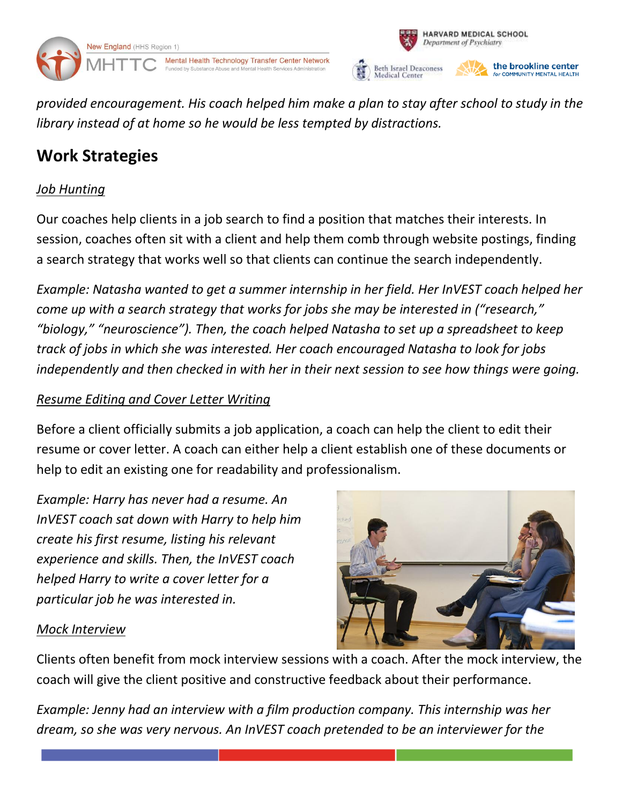



the brookline center for COMMUNITY MENTAL HEALTH

*provided encouragement. His coach helped him make a plan to stay after school to study in the library instead of at home so he would be less tempted by distractions.* 

# **Work Strategies**

# *Job Hunting*

Our coaches help clients in a job search to find a position that matches their interests. In session, coaches often sit with a client and help them comb through website postings, finding a search strategy that works well so that clients can continue the search independently.

*Example: Natasha wanted to get a summer internship in her field. Her InVEST coach helped her come up with a search strategy that works for jobs she may be interested in ("research," "biology," "neuroscience"). Then, the coach helped Natasha to set up a spreadsheet to keep track of jobs in which she was interested. Her coach encouraged Natasha to look for jobs independently and then checked in with her in their next session to see how things were going.*

# *Resume Editing and Cover Letter Writing*

Before a client officially submits a job application, a coach can help the client to edit their resume or cover letter. A coach can either help a client establish one of these documents or help to edit an existing one for readability and professionalism.

*Example: Harry has never had a resume. An InVEST coach sat down with Harry to help him create his first resume, listing his relevant experience and skills. Then, the InVEST coach helped Harry to write a cover letter for a particular job he was interested in.*

# *Mock Interview*

Clients often benefit from mock interview sessions with a coach. After the mock interview, the coach will give the client positive and constructive feedback about their performance.

*Example: Jenny had an interview with a film production company. This internship was her dream, so she was very nervous. An InVEST coach pretended to be an interviewer for the*